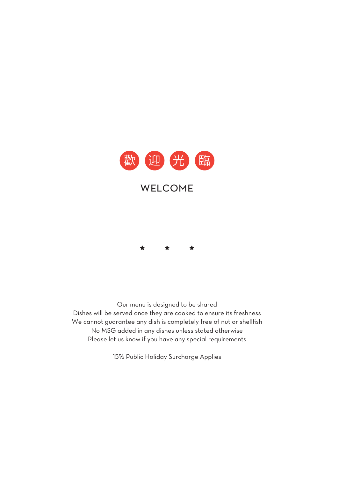

Our menu is designed to be shared Dishes will be served once they are cooked to ensure its freshness We cannot guarantee any dish is completely free of nut or shellfish No MSG added in any dishes unless stated otherwise Please let us know if you have any special requirements

15% Public Holiday Surcharge Applies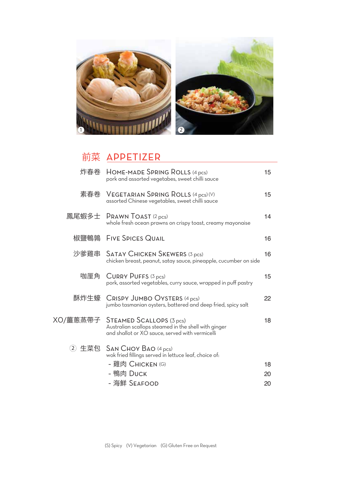

# 前菜 **APPETIZER**

|     | 炸春卷 HOME-MADE SPRING ROLLS (4 pcs)<br>pork and assorted vegetabes, sweet chilli sauce                                                        | 15 |
|-----|----------------------------------------------------------------------------------------------------------------------------------------------|----|
|     | 素春卷 VEGETARIAN SPRING ROLLS (4 pcs) (V)<br>assorted Chinese vegetables, sweet chilli sauce                                                   | 15 |
|     | 鳳尾蝦多士 PRAWN TOAST (2 pcs)<br>whole fresh ocean prawns on crispy toast, creamy mayonaise                                                      | 14 |
|     | 椒鹽鵪鶉 FIVE SPICES QUAIL                                                                                                                       | 16 |
|     | 沙爹雞串 SATAY CHICKEN SKEWERS (3 pcs)<br>chicken breast, peanut, satay sauce, pineapple, cucumber on side                                       | 16 |
| 咖厘角 | CURRY PUFFS (3 pcs)<br>pork, assorted vegetables, curry sauce, wrapped in puff pastry                                                        | 15 |
|     | 酥炸生蠔 CRISPY JUMBO OYSTERS (4 pcs)<br>jumbo tasmanian oysters, battered and deep fried, spicy salt                                            | 22 |
|     | XO/薑蔥蒸帶子 STEAMED SCALLOPS (3 pcs)<br>Australian scallops steamed in the shell with ginger<br>and shallot or XO sauce, served with vermicelli | 18 |
|     | 生菜包 SAN CHOY BAO (4 pcs)<br>wok fried fillings served in lettuce leaf, choice of:<br>- 雞肉 Chicken (G)                                        | 18 |
|     | - 鴨肉 Duck                                                                                                                                    | 20 |
|     | - 海鮮 Seafood                                                                                                                                 | 20 |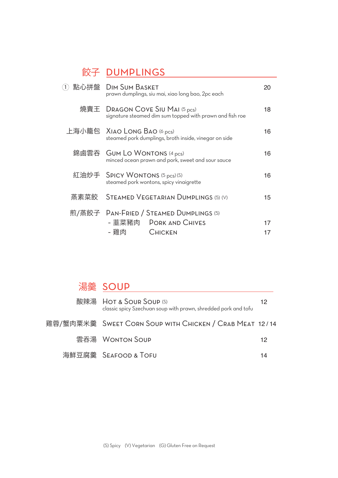#### **餃子 DUMPLINGS**

|      | 點心拼盤 DIM SUM BASKET<br>prawn dumplings, siu mai, xiao long bao, 2pc each                    | 20       |
|------|---------------------------------------------------------------------------------------------|----------|
|      | 燒賣王 DRAGON COVE SIU MAI (5 pcs)<br>signature steamed dim sum topped with prawn and fish roe | 18       |
|      | 上海小籠包 XIAO LONG BAO (6 pcs)<br>steamed pork dumplings, broth inside, vinegar on side        | 16       |
|      | 錦鹵雲吞 Gum Lo Wontons (4 pcs)<br>minced ocean prawn and pork, sweet and sour sauce            | 16       |
|      | 紅油炒手 SPICY WONTONS (5 pcs) (S)<br>steamed pork wontons, spicy vinaigrette                   | 16       |
| 蒸素菜餃 | STEAMED VEGETARIAN DUMPLINGS (5) (V)                                                        | 15       |
|      | 煎/蒸餃子 PAN-FRIED / STEAMED DUMPLINGS (5)<br>- 韮菜豬肉 PORK AND CHIVES<br>- 雞肉<br>Сніскен        | 17<br>17 |

### 湯羹 soup

| 酸辣湯 Hot & Sour Soup (S)<br>classic spicy Szechuan soup with prawn, shredded pork and tofu | 12              |
|-------------------------------------------------------------------------------------------|-----------------|
| 雞蓉/蟹肉粟米羹   Sweet Corn Soup with Chicken / Crab Meat  12 / 14                              |                 |
| 雲吞湯 Wonton Soup                                                                           | 12 <sup>°</sup> |
| 海鮮豆腐羹 SEAFOOD & TOFU                                                                      | 14              |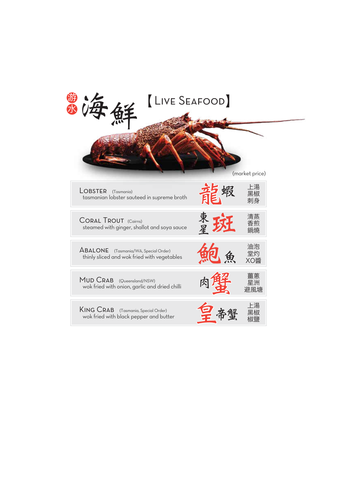| [ LIVE SEAFOOD]                                                                               |                 |
|-----------------------------------------------------------------------------------------------|-----------------|
|                                                                                               | (market price)  |
| LOBSTER<br>(Tasmania)<br>tasmanian lobster sauteed in supreme broth                           | :湯<br>黑椒<br>刺身  |
| <b>CORAL TROUT</b> (Cairns)<br>steamed with ginger, shallot and soya sauce                    | 清蒸<br>香煎<br>鍋燒  |
| <b>ABALONE</b><br>(Tasmania/WA, Special Order)<br>thinly sliced and wok fried with vegetables | 油泡<br>堂灼<br>XO醬 |
| <b>MUD CRAB</b><br>(Queensland/NSW)<br>wok fried with onion, garlic and dried chilli          | 薑蔥<br>星洲<br>避風塘 |
| <b>KING CRAB</b><br>(Tasmania, Special Order)<br>wok fried with black pepper and butter       | 上湯<br>!鹽        |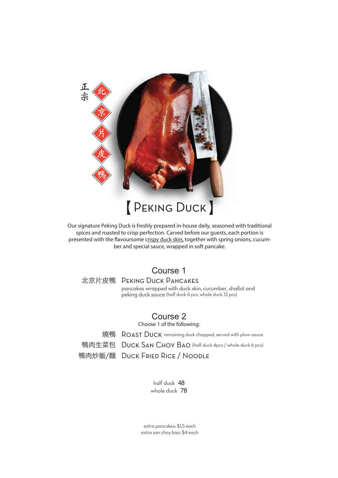

Our signature Peking Duck is freshly prepared in-house daily, seasoned with traditional spices and roasted to crisp perfection. Carved before our guests, each portion is presented with the flavoursome crispy duck skin, together with spring onions, cucumber and special sauce, wrapped in soft pancake.

#### Course 1

#### 北京片皮鴨 Peking Duck Pancakes

 pancakes wrapped with duck skin, cucumber, shallot and peking duck sauce (half duck 6 pcs, whole duck 12 pcs)

#### Course 2

Choose 1 of the following:

燒鴨 Roast Duck remaining duck chopped, served with plum sauce 鴨肉生菜包 Duck San Choy Bao (half duck 4pcs / whole duck 6 pcs)

鴨肉炒飯/麵 Duck Fried Rice / Noodle

half duck 48 whole duck 78

extra pancakes: \$1.5 each extra san choy bao: \$4 each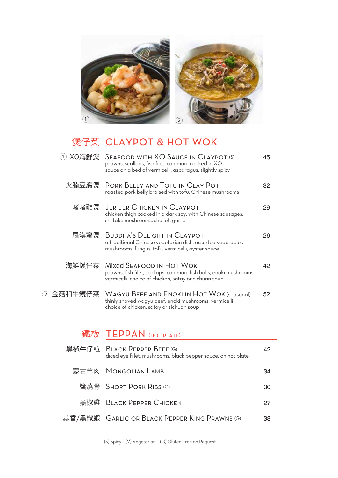

## **煲仔菜 CLAYPOT & HOT WOK**

|         | XO海鮮煲 SEAFOOD WITH XO SAUCE IN CLAYPOT (S)<br>prawns, scallops, fish filet, calamari, cooked in XO<br>sauce on a bed of vermicelli, asparagus, slightly spicy | 45 |
|---------|---------------------------------------------------------------------------------------------------------------------------------------------------------------|----|
|         | 火腩豆腐煲 PORK BELLY AND TOFU IN CLAY POT<br>roasted pork belly braised with tofu, Chinese mushrooms                                                              | 32 |
|         | 啫啫雞煲 JER JER CHICKEN IN CLAYPOT<br>chicken thigh cooked in a dark soy, with Chinese sausages,<br>shiitake mushrooms, shallot, garlic                          | 29 |
|         | 羅漢齋煲 Buddha's Delight in Claypot<br>a traditional Chinese vegetarian dish, assorted vegetables<br>mushrooms, fungus, tofu, vermicelli, oyster sauce           | 26 |
| 海鮮鑊仔菜   | Mixed SEAFOOD IN HOT WOK<br>prawns, fish filet, scallops, calamari, fish balls, enoki mushrooms,<br>vermicelli, choice of chicken, satay or sichuan soup      | 42 |
| 金菇和牛鑊仔菜 | WAGYU BEEF AND ENOKI IN HOT WOK (seasonal)<br>thinly shaved wagyu beef, enoki mushrooms, vermicelli<br>choice of chicken, satay or sichuan soup               | 52 |

### 鐵板 TEPPAN (HOT PLATE)

| 黑椒牛仔粒 BLACK PEPPER BEEF (G)<br>diced eye fillet, mushrooms, black pepper sauce, on hot plate |    |
|----------------------------------------------------------------------------------------------|----|
| 蒙古羊肉 Mongolian Lamb                                                                          | 34 |
| 醬燒骨 SHORT PORK RIBS (G)                                                                      | 30 |
| 黑椒雞 BLACK PEPPER CHICKEN                                                                     | 27 |
| 蒜香/黑椒蝦 GARLIC OR BLACK PEPPER KING PRAWNS (G)                                                | 38 |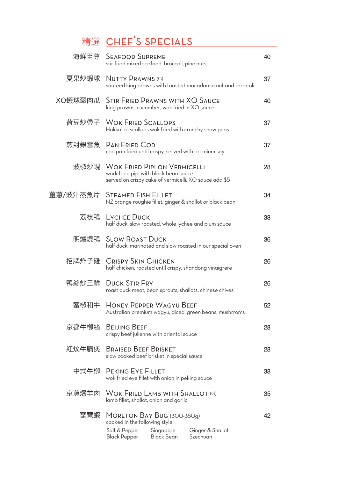# 精選 CHEF'S SPECIALS

|          | 海鮮至尊 SEAFOOD SUPREME<br>stir fried mixed seafood, broccoli, pine nuts,                                                                                   | 40 |
|----------|----------------------------------------------------------------------------------------------------------------------------------------------------------|----|
| 夏果炒蝦球    | <b>NUTTY PRAWNS (G)</b><br>sauteed king prawns with toasted macadamia nut and broccoli                                                                   | 37 |
| XO蝦球翠肉瓜  | STIR FRIED PRAWNS WITH XO SAUCE<br>king prawns, cucumber, wok fried in XO sauce                                                                          | 40 |
|          | 荷豆炒帶子 Wok Fried Scallops<br>Hokkaido scallops wok fried with crunchy snow peas                                                                           | 37 |
| 煎封銀雪魚    | <b>PAN FRIED COD</b><br>cod pan fried until crispy, served with premium soy                                                                              | 37 |
| 豉椒炒蜆     | <b>WOK FRIED PIPI ON VERMICELLI</b><br>work fried pipi with black bean sauce<br>served on crispy cake of vermicelli, XO sauce add \$5                    | 28 |
| 薑蔥/豉汁蒸魚片 | <b>STEAMED FISH FILLET</b><br>NZ orange roughie fillet, ginger & shallot or black bean                                                                   | 34 |
| 荔枝鴨      | LYCHEE DUCK<br>half duck, slow roasted, whole lychee and plum sauce                                                                                      | 38 |
| 明爐燒鴨     | <b>SLOW ROAST DUCK</b><br>half duck, marinated and slow roasted in our special oven                                                                      | 36 |
| 招牌炸子雞    | <b>CRISPY SKIN CHICKEN</b><br>half chicken, roasted until crispy, shandong vinaigrere                                                                    | 26 |
| 鴨絲炒三鮮    | <b>DUCK STIR FRY</b><br>roast duck meat, bean sprouts, shallots, chinese chives                                                                          | 26 |
|          | 蜜椒和牛 HONEY PEPPER WAGYU BEEF<br>Australian premium wagyu, diced, green beans, mushrroms                                                                  | 52 |
| 京都牛柳絲    | <b>BEIJING BEEF</b><br>crispy beef julienne with oriental sauce                                                                                          | 28 |
| 紅炆牛腩煲    | <b>BRAISED BEEF BRISKET</b><br>slow cooked beef brisket in special sauce                                                                                 | 28 |
| 中式牛柳     | <b>PEKING EYE FILLET</b><br>wok fried eye fillet with onion in peking sauce                                                                              | 38 |
| 京蔥爆羊肉    | <b>WOK FRIED LAMB WITH SHALLOT (G)</b><br>lamb fillet, shallot, onion and garlic                                                                         | 35 |
| 琵琶蝦      | MORETON BAY BUG (300-350g)<br>cooked in the following style:<br>Salt & Pepper<br>Singapore<br>Ginger & Shallot<br>Black Pepper<br>Black Bean<br>Szechuan | 42 |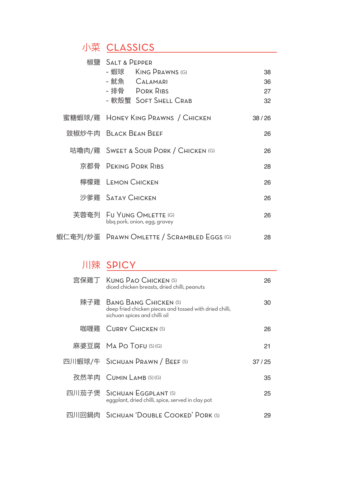### <sup>小</sup>菜 classics

| 椒鹽 SALT & PEPPER                                         |       |
|----------------------------------------------------------|-------|
| - 蝦球   King Prawns ⑹                                     | 38    |
| - 魷魚   Calamari                                          | 36    |
| - 排骨        PORK RIBS                                    | 27    |
| - 軟殼蟹   SOFT SHELL CRAB                                  | 32    |
| 蜜糖蝦球/雞 HONEY KING PRAWNS / CHICKEN                       | 38/26 |
| 豉椒炒牛肉 BLACK BEAN BEEF                                    | 26    |
| 咕嚕肉/雞 Sweet & SOUR PORK / CHICKEN (G)                    | 26    |
| 京都骨 PEKING PORK RIBS                                     | 28    |
| 檸檬雞 LEMON CHICKEN                                        | 26    |
| 沙爹雞 Satay Chicken                                        | 26    |
| 芙蓉奄列 Fu Yung OMLETTE (G)<br>bbq pork, onion, egg, gravey | 26    |
| 蝦仁奄列/炒蛋 Prawn OmLETTE / SCRAMBLED EGGS ⑹                 | 28    |

# 川辣 spicy

|       | 宫保雞丁 Kung Pao Chicken (S)<br>diced chicken breasts, dried chilli, peanuts                                             | 26    |
|-------|-----------------------------------------------------------------------------------------------------------------------|-------|
|       | 辣子雞 Bang Bang Chicken (S)<br>deep fried chicken pieces and tossed with dried chilli,<br>sichuan spices and chilli oil | 30    |
|       | 咖喱雞 CURRY CHICKEN (S)                                                                                                 | 26    |
|       | 麻婆豆腐 MA Po Toru (S) (G)                                                                                               | 21    |
|       | 四川蝦球/牛 SICHUAN PRAWN / BEEF (S)                                                                                       | 37/25 |
|       | 孜然羊肉 CUMIN LAMB (S) (G)                                                                                               | 35    |
|       | 四川茄子煲 SICHUAN EGGPLANT (S)<br>eggplant, dried chilli, spice, served in clay pot                                       | 25    |
| 四川回鍋肉 | SICHUAN 'DOUBLE COOKED' PORK (S)                                                                                      | 29    |